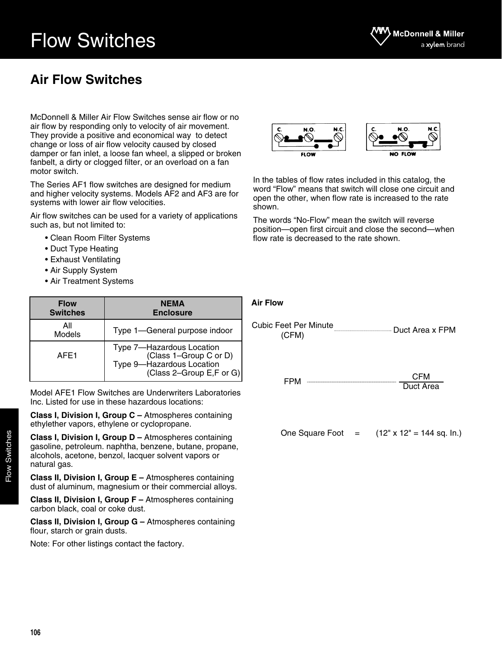# Flow Switches

# **Air Flow Switches**

McDonnell & Miller Air Flow Switches sense air flow or no air flow by responding only to velocity of air movement. They provide a positive and economical way to detect change or loss of air flow velocity caused by closed damper or fan inlet, a loose fan wheel, a slipped or broken fanbelt, a dirty or clogged filter, or an overload on a fan motor switch.

The Series AF1 flow switches are designed for medium and higher velocity systems. Models AF2 and AF3 are for systems with lower air flow velocities.

Air flow switches can be used for a variety of applications such as, but not limited to:

- Clean Room Filter Systems
- Duct Type Heating
- Exhaust Ventilating
- Air Supply System
- Air Treatment Systems

| <b>Flow</b><br><b>Switches</b> | <b>NEMA</b><br><b>Enclosure</b>                                                                              |
|--------------------------------|--------------------------------------------------------------------------------------------------------------|
| All<br>Models                  | Type 1-General purpose indoor                                                                                |
| AFF1                           | Type 7-Hazardous Location<br>(Class 1-Group C or D)<br>Type 9-Hazardous Location<br>(Class 2-Group E,F or G) |

Model AFE1 Flow Switches are Underwriters Laboratories Inc. Listed for use in these hazardous locations:

**Class I, Division I, Group C –** Atmospheres containing ethylether vapors, ethylene or cyclopropane.

**Class I, Division I, Group D –** Atmospheres containing gasoline, petroleum. naphtha, benzene, butane, propane, alcohols, acetone, benzol, Iacquer solvent vapors or natural gas.

**Class II, Division I, Group E –** Atmospheres containing dust of aluminum, magnesium or their commercial alloys.

**Class II, Division I, Group F –** Atmospheres containing carbon black, coal or coke dust.

**Class II, Division I, Group G –** Atmospheres containing flour, starch or grain dusts.

Note: For other listings contact the factory.



In the tables of flow rates included in this catalog, the word "Flow" means that switch will close one circuit and open the other, when flow rate is increased to the rate shown.

The words "No-Flow" mean the switch will reverse position—open first circuit and close the second—when flow rate is decreased to the rate shown.

| <b>Cubic Feet Per Minute</b><br>(CFM) |                                  |
|---------------------------------------|----------------------------------|
| FPM                                   | <b>CFM</b><br>Duct Area          |
| One Square Foot $=$                   | $(12" \times 12" = 144$ sq. In.) |

**Air Flow**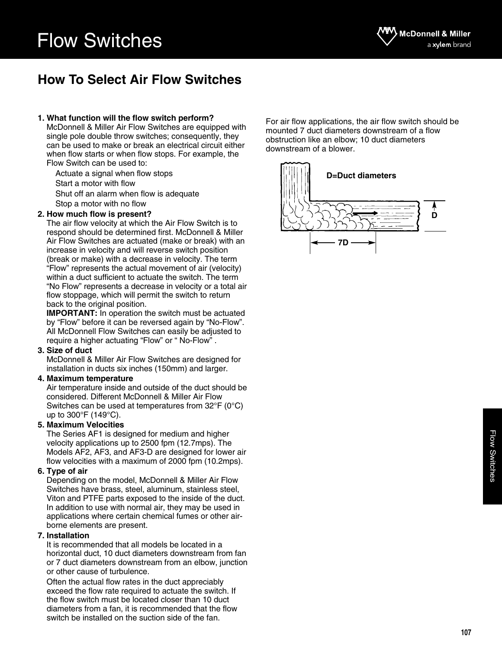# Flow Switches

# **How To Select Air Flow Switches**

### **1. What function will the flow switch perform?**

McDonnell & Miller Air Flow Switches are equipped with single pole double throw switches; consequently, they can be used to make or break an electrical circuit either when flow starts or when flow stops. For example, the Flow Switch can be used to:

Actuate a signal when flow stops Start a motor with flow Shut off an alarm when flow is adequate Stop a motor with no flow

### **2. How much flow is present?**

The air flow velocity at which the Air Flow Switch is to respond should be determined first. McDonnell & Miller Air Flow Switches are actuated (make or break) with an increase in velocity and will reverse switch position (break or make) with a decrease in velocity. The term "Flow" represents the actual movement of air (velocity) within a duct sufficient to actuate the switch. The term "No Flow" represents a decrease in velocity or a total air flow stoppage, which will permit the switch to return back to the original position.

**IMPORTANT:** In operation the switch must be actuated by "Flow" before it can be reversed again by "No-Flow". All McDonnell Flow Switches can easily be adjusted to require a higher actuating "Flow" or " No-Flow" .

#### **3. Size of duct**

McDonnell & Miller Air Flow Switches are designed for installation in ducts six inches (150mm) and larger.

#### **4. Maximum temperature**

Air temperature inside and outside of the duct should be considered. Different McDonnell & Miller Air Flow Switches can be used at temperatures from 32°F (0°C) up to 300°F (149°C).

### **5. Maximum Velocities**

The Series AF1 is designed for medium and higher velocity applications up to 2500 fpm (12.7mps). The Models AF2, AF3, and AF3-D are designed for lower air flow velocities with a maximum of 2000 fpm (10.2mps).

### **6. Type of air**

Depending on the model, McDonnell & Miller Air Flow Switches have brass, steel, aluminum, stainless steel, Viton and PTFE parts exposed to the inside of the duct. In addition to use with normal air, they may be used in applications where certain chemical fumes or other airborne elements are present.

#### **7. Installation**

It is recommended that all models be located in a horizontal duct, 10 duct diameters downstream from fan or 7 duct diameters downstream from an elbow, junction or other cause of turbulence.

Often the actual flow rates in the duct appreciably exceed the flow rate required to actuate the switch. If the flow switch must be located closer than 10 duct diameters from a fan, it is recommended that the flow switch be installed on the suction side of the fan.

For air flow applications, the air flow switch should be mounted 7 duct diameters downstream of a flow obstruction like an elbow; 10 duct diameters downstream of a blower.

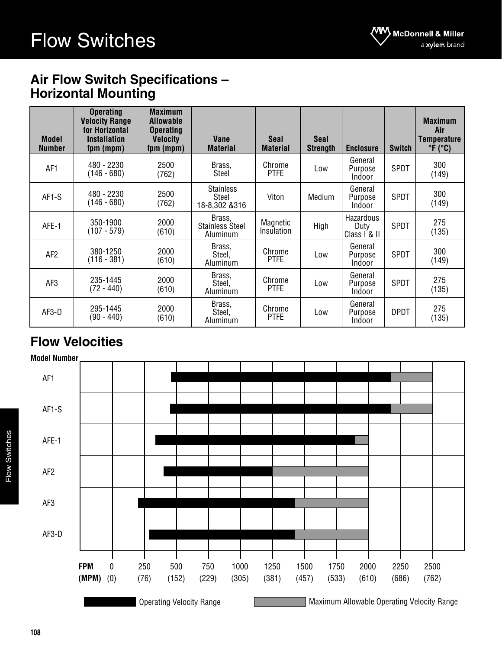# **Air Flow Switch Specifications – Horizontal Mounting**

| <b>Model</b><br><b>Number</b> | <b>Operating</b><br><b>Velocity Range</b><br>for Horizontal<br><b>Installation</b><br>fpm (mpm) | <b>Maximum</b><br><b>Allowable</b><br><b>Operating</b><br><b>Velocity</b><br>fpm (mpm) | Vane<br><b>Material</b>                      | <b>Seal</b><br><b>Material</b> | <b>Seal</b><br><b>Strength</b> | <b>Enclosure</b>                  | <b>Switch</b> | <b>Maximum</b><br>Air<br><b>Temperature</b><br>$\degree$ F ( $\degree$ C) |
|-------------------------------|-------------------------------------------------------------------------------------------------|----------------------------------------------------------------------------------------|----------------------------------------------|--------------------------------|--------------------------------|-----------------------------------|---------------|---------------------------------------------------------------------------|
| AF <sub>1</sub>               | 480 - 2230<br>$(146 - 680)$                                                                     | 2500<br>(762)                                                                          | Brass,<br><b>Steel</b>                       | Chrome<br><b>PTFE</b>          | Low                            | General<br>Purpose<br>Indoor      | <b>SPDT</b>   | 300<br>(149)                                                              |
| AF1-S                         | 480 - 2230<br>$(146 - 680)$                                                                     | 2500<br>(762)                                                                          | <b>Stainless</b><br>Steel<br>18-8,302 &316   | Viton                          | Medium                         | General<br>Purpose<br>Indoor      | <b>SPDT</b>   | 300<br>(149)                                                              |
| AFE-1                         | 350-1900<br>$(107 - 579)$                                                                       | 2000<br>(610)                                                                          | Brass,<br><b>Stainless Steel</b><br>Aluminum | Magnetic<br>Insulation         | High                           | Hazardous<br>Duty<br>Class I & II | <b>SPDT</b>   | 275<br>(135)                                                              |
| AF <sub>2</sub>               | 380-1250<br>$(116 - 381)$                                                                       | 2000<br>(610)                                                                          | Brass,<br>Steel,<br><b>Aluminum</b>          | Chrome<br><b>PTFE</b>          | Low                            | General<br>Purpose<br>Indoor      | <b>SPDT</b>   | 300<br>(149)                                                              |
| AF3                           | 235-1445<br>$(72 - 440)$                                                                        | 2000<br>(610)                                                                          | Brass,<br>Steel,<br><b>Aluminum</b>          | Chrome<br><b>PTFE</b>          | Low                            | General<br>Purpose<br>Indoor      | SPDT          | 275<br>(135)                                                              |
| AF3-D                         | 295-1445<br>$(90 - 440)$                                                                        | 2000<br>(610)                                                                          | Brass,<br>Steel,<br>Aluminum                 | Chrome<br><b>PTFE</b>          | Low                            | General<br>Purpose<br>Indoor      | <b>DPDT</b>   | 275<br>(135)                                                              |

# **Flow Velocities**